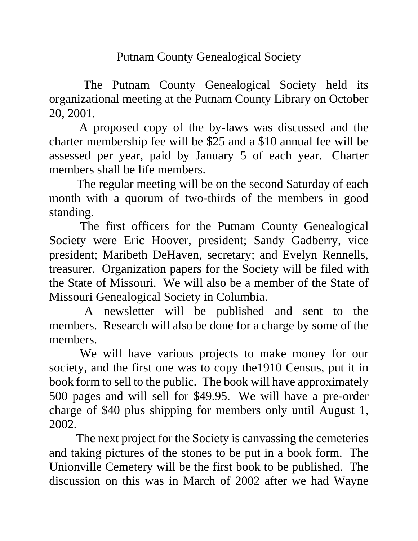Putnam County Genealogical Society

 The Putnam County Genealogical Society held its organizational meeting at the Putnam County Library on October 20, 2001.

 A proposed copy of the by-laws was discussed and the charter membership fee will be \$25 and a \$10 annual fee will be assessed per year, paid by January 5 of each year. Charter members shall be life members.

 The regular meeting will be on the second Saturday of each month with a quorum of two-thirds of the members in good standing.

 The first officers for the Putnam County Genealogical Society were Eric Hoover, president; Sandy Gadberry, vice president; Maribeth DeHaven, secretary; and Evelyn Rennells, treasurer. Organization papers for the Society will be filed with the State of Missouri. We will also be a member of the State of Missouri Genealogical Society in Columbia.

 A newsletter will be published and sent to the members. Research will also be done for a charge by some of the members.

 We will have various projects to make money for our society, and the first one was to copy the1910 Census, put it in book form to sell to the public. The book will have approximately 500 pages and will sell for \$49.95. We will have a pre-order charge of \$40 plus shipping for members only until August 1, 2002.

 The next project for the Society is canvassing the cemeteries and taking pictures of the stones to be put in a book form. The Unionville Cemetery will be the first book to be published. The discussion on this was in March of 2002 after we had Wayne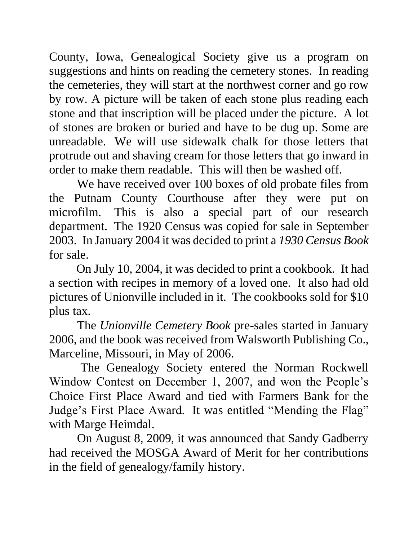County, Iowa, Genealogical Society give us a program on suggestions and hints on reading the cemetery stones. In reading the cemeteries, they will start at the northwest corner and go row by row. A picture will be taken of each stone plus reading each stone and that inscription will be placed under the picture. A lot of stones are broken or buried and have to be dug up. Some are unreadable. We will use sidewalk chalk for those letters that protrude out and shaving cream for those letters that go inward in order to make them readable. This will then be washed off.

 We have received over 100 boxes of old probate files from the Putnam County Courthouse after they were put on microfilm. This is also a special part of our research department. The 1920 Census was copied for sale in September 2003. In January 2004 it was decided to print a *1930 Census Book* for sale.

 On July 10, 2004, it was decided to print a cookbook. It had a section with recipes in memory of a loved one. It also had old pictures of Unionville included in it. The cookbooks sold for \$10 plus tax.

 The *Unionville Cemetery Book* pre-sales started in January 2006, and the book was received from Walsworth Publishing Co., Marceline, Missouri, in May of 2006.

 The Genealogy Society entered the Norman Rockwell Window Contest on December 1, 2007, and won the People's Choice First Place Award and tied with Farmers Bank for the Judge's First Place Award. It was entitled "Mending the Flag" with Marge Heimdal.

 On August 8, 2009, it was announced that Sandy Gadberry had received the MOSGA Award of Merit for her contributions in the field of genealogy/family history.